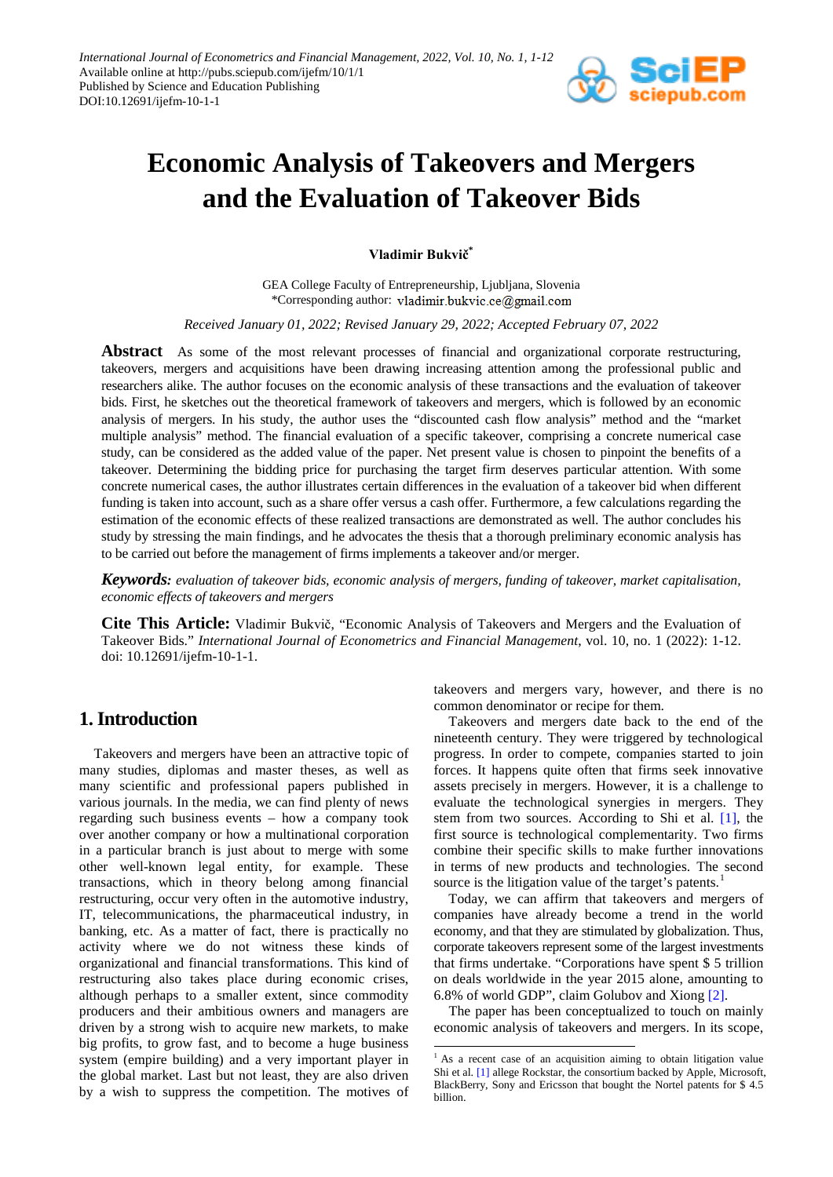

# **Economic Analysis of Takeovers and Mergers and the Evaluation of Takeover Bids**

**Vladimir Bukvič\***

GEA College Faculty of Entrepreneurship, Ljubljana, Slovenia \*Corresponding author: vladimir.bukvic.ce@gmail.com

*Received January 01, 2022; Revised January 29, 2022; Accepted February 07, 2022*

**Abstract** As some of the most relevant processes of financial and organizational corporate restructuring, takeovers, mergers and acquisitions have been drawing increasing attention among the professional public and researchers alike. The author focuses on the economic analysis of these transactions and the evaluation of takeover bids. First, he sketches out the theoretical framework of takeovers and mergers, which is followed by an economic analysis of mergers. In his study, the author uses the "discounted cash flow analysis" method and the "market multiple analysis" method. The financial evaluation of a specific takeover, comprising a concrete numerical case study, can be considered as the added value of the paper. Net present value is chosen to pinpoint the benefits of a takeover. Determining the bidding price for purchasing the target firm deserves particular attention. With some concrete numerical cases, the author illustrates certain differences in the evaluation of a takeover bid when different funding is taken into account, such as a share offer versus a cash offer. Furthermore, a few calculations regarding the estimation of the economic effects of these realized transactions are demonstrated as well. The author concludes his study by stressing the main findings, and he advocates the thesis that a thorough preliminary economic analysis has to be carried out before the management of firms implements a takeover and/or merger.

*Keywords: evaluation of takeover bids, economic analysis of mergers, funding of takeover, market capitalisation, economic effects of takeovers and mergers*

**Cite This Article:** Vladimir Bukvič, "Economic Analysis of Takeovers and Mergers and the Evaluation of Takeover Bids." *International Journal of Econometrics and Financial Management*, vol. 10, no. 1 (2022): 1-12. doi: 10.12691/ijefm-10-1-1.

**.** 

### **1. Introduction**

<span id="page-0-0"></span>Takeovers and mergers have been an attractive topic of many studies, diplomas and master theses, as well as many scientific and professional papers published in various journals. In the media, we can find plenty of news regarding such business events – how a company took over another company or how a multinational corporation in a particular branch is just about to merge with some other well-known legal entity, for example. These transactions, which in theory belong among financial restructuring, occur very often in the automotive industry, IT, telecommunications, the pharmaceutical industry, in banking, etc. As a matter of fact, there is practically no activity where we do not witness these kinds of organizational and financial transformations. This kind of restructuring also takes place during economic crises, although perhaps to a smaller extent, since commodity producers and their ambitious owners and managers are driven by a strong wish to acquire new markets, to make big profits, to grow fast, and to become a huge business system (empire building) and a very important player in the global market. Last but not least, they are also driven by a wish to suppress the competition. The motives of takeovers and mergers vary, however, and there is no common denominator or recipe for them.

Takeovers and mergers date back to the end of the nineteenth century. They were triggered by technological progress. In order to compete, companies started to join forces. It happens quite often that firms seek innovative assets precisely in mergers. However, it is a challenge to evaluate the technological synergies in mergers. They stem from two sources. According to Shi et al. [\[1\],](#page-11-0) the first source is technological complementarity. Two firms combine their specific skills to make further innovations in terms of new products and technologies. The second source is the litigation value of the target's patents.<sup>[1](#page-0-0)</sup>

Today, we can affirm that takeovers and mergers of companies have already become a trend in the world economy, and that they are stimulated by globalization. Thus, corporate takeovers represent some of the largest investments that firms undertake. "Corporations have spent \$ 5 trillion on deals worldwide in the year 2015 alone, amounting to 6.8% of world GDP", claim Golubov and Xiong [\[2\].](#page-11-1)

The paper has been conceptualized to touch on mainly economic analysis of takeovers and mergers. In its scope,

<sup>&</sup>lt;sup>1</sup> As a recent case of an acquisition aiming to obtain litigation value Shi et al[. \[1\]](#page-11-0) allege Rockstar, the consortium backed by Apple, Microsoft, BlackBerry, Sony and Ericsson that bought the Nortel patents for \$ 4.5 billion.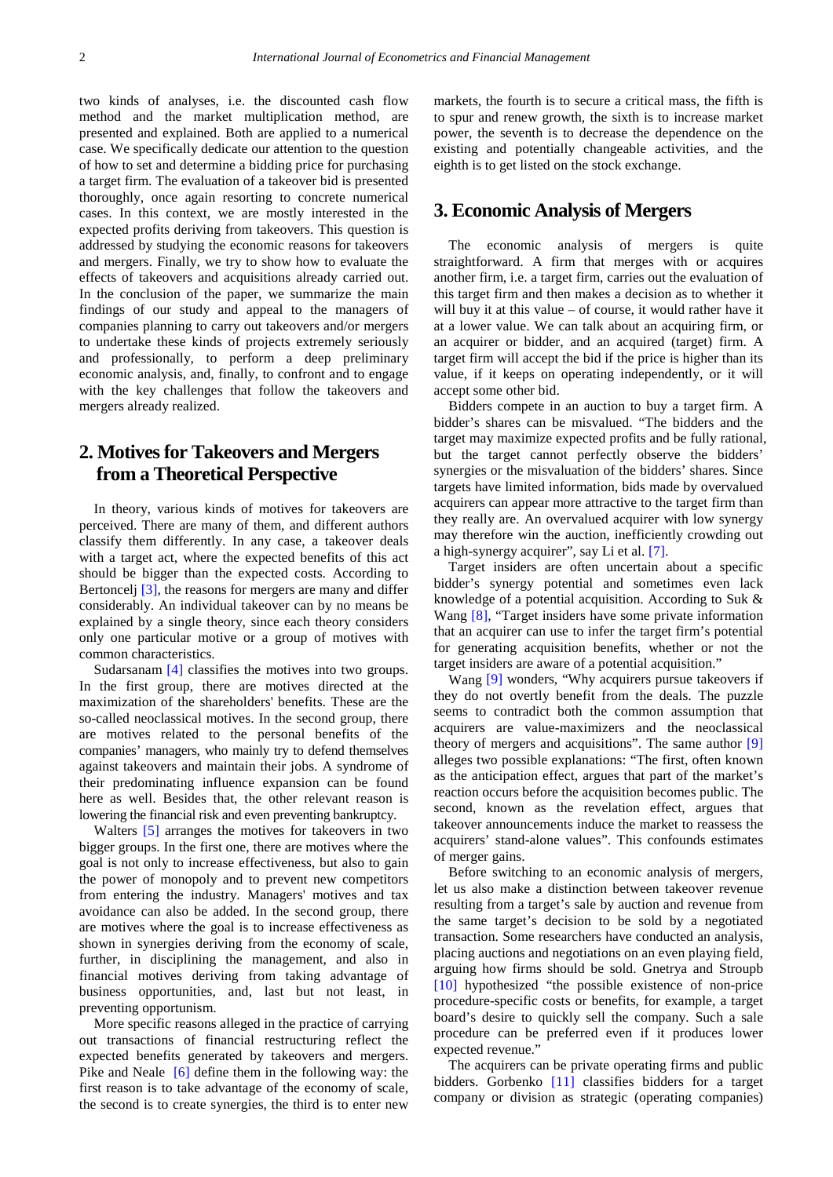two kinds of analyses, i.e. the discounted cash flow method and the market multiplication method, are presented and explained. Both are applied to a numerical case. We specifically dedicate our attention to the question of how to set and determine a bidding price for purchasing a target firm. The evaluation of a takeover bid is presented thoroughly, once again resorting to concrete numerical cases. In this context, we are mostly interested in the expected profits deriving from takeovers. This question is addressed by studying the economic reasons for takeovers and mergers. Finally, we try to show how to evaluate the effects of takeovers and acquisitions already carried out. In the conclusion of the paper, we summarize the main findings of our study and appeal to the managers of companies planning to carry out takeovers and/or mergers to undertake these kinds of projects extremely seriously and professionally, to perform a deep preliminary economic analysis, and, finally, to confront and to engage with the key challenges that follow the takeovers and mergers already realized.

## **2. Motives for Takeovers and Mergers from a Theoretical Perspective**

In theory, various kinds of motives for takeovers are perceived. There are many of them, and different authors classify them differently. In any case, a takeover deals with a target act, where the expected benefits of this act should be bigger than the expected costs. According to Bertoncelj [\[3\],](#page-11-2) the reasons for mergers are many and differ considerably. An individual takeover can by no means be explained by a single theory, since each theory considers only one particular motive or a group of motives with common characteristics.

Sudarsanam [\[4\]](#page-11-3) classifies the motives into two groups. In the first group, there are motives directed at the maximization of the shareholders' benefits. These are the so-called neoclassical motives. In the second group, there are motives related to the personal benefits of the companies' managers, who mainly try to defend themselves against takeovers and maintain their jobs. A syndrome of their predominating influence expansion can be found here as well. Besides that, the other relevant reason is lowering the financial risk and even preventing bankruptcy.

Walters [\[5\]](#page-11-4) arranges the motives for takeovers in two bigger groups. In the first one, there are motives where the goal is not only to increase effectiveness, but also to gain the power of monopoly and to prevent new competitors from entering the industry. Managers' motives and tax avoidance can also be added. In the second group, there are motives where the goal is to increase effectiveness as shown in synergies deriving from the economy of scale, further, in disciplining the management, and also in financial motives deriving from taking advantage of business opportunities, and, last but not least, in preventing opportunism.

More specific reasons alleged in the practice of carrying out transactions of financial restructuring reflect the expected benefits generated by takeovers and mergers. Pike and Neale [\[6\]](#page-11-5) define them in the following way: the first reason is to take advantage of the economy of scale, the second is to create synergies, the third is to enter new markets, the fourth is to secure a critical mass, the fifth is to spur and renew growth, the sixth is to increase market power, the seventh is to decrease the dependence on the existing and potentially changeable activities, and the eighth is to get listed on the stock exchange.

### **3. Economic Analysis of Mergers**

The economic analysis of mergers is quite straightforward. A firm that merges with or acquires another firm, i.e. a target firm, carries out the evaluation of this target firm and then makes a decision as to whether it will buy it at this value – of course, it would rather have it at a lower value. We can talk about an acquiring firm, or an acquirer or bidder, and an acquired (target) firm. A target firm will accept the bid if the price is higher than its value, if it keeps on operating independently, or it will accept some other bid.

Bidders compete in an auction to buy a target firm. A bidder's shares can be misvalued. "The bidders and the target may maximize expected profits and be fully rational, but the target cannot perfectly observe the bidders' synergies or the misvaluation of the bidders' shares. Since targets have limited information, bids made by overvalued acquirers can appear more attractive to the target firm than they really are. An overvalued acquirer with low synergy may therefore win the auction, inefficiently crowding out a high-synergy acquirer", say Li et al. [\[7\].](#page-11-6)

Target insiders are often uncertain about a specific bidder's synergy potential and sometimes even lack knowledge of a potential acquisition. According to Suk & Wang [\[8\],](#page-11-7) "Target insiders have some private information" that an acquirer can use to infer the target firm's potential for generating acquisition benefits, whether or not the target insiders are aware of a potential acquisition."

Wang [\[9\]](#page-11-8) wonders, "Why acquirers pursue takeovers if they do not overtly benefit from the deals. The puzzle seems to contradict both the common assumption that acquirers are value-maximizers and the neoclassical theory of mergers and acquisitions". The same author [\[9\]](#page-11-8) alleges two possible explanations: "The first, often known as the anticipation effect, argues that part of the market's reaction occurs before the acquisition becomes public. The second, known as the revelation effect, argues that takeover announcements induce the market to reassess the acquirers' stand-alone values". This confounds estimates of merger gains.

Before switching to an economic analysis of mergers, let us also make a distinction between takeover revenue resulting from a target's sale by auction and revenue from the same target's decision to be sold by a negotiated transaction. Some researchers have conducted an analysis, placing auctions and negotiations on an even playing field, arguing how firms should be sold. Gnetrya and Stroupb [\[10\]](#page-11-9) hypothesized "the possible existence of non-price procedure-specific costs or benefits, for example, a target board's desire to quickly sell the company. Such a sale procedure can be preferred even if it produces lower expected revenue."

The acquirers can be private operating firms and public bidders. Gorbenko [\[11\]](#page-11-10) classifies bidders for a target company or division as strategic (operating companies)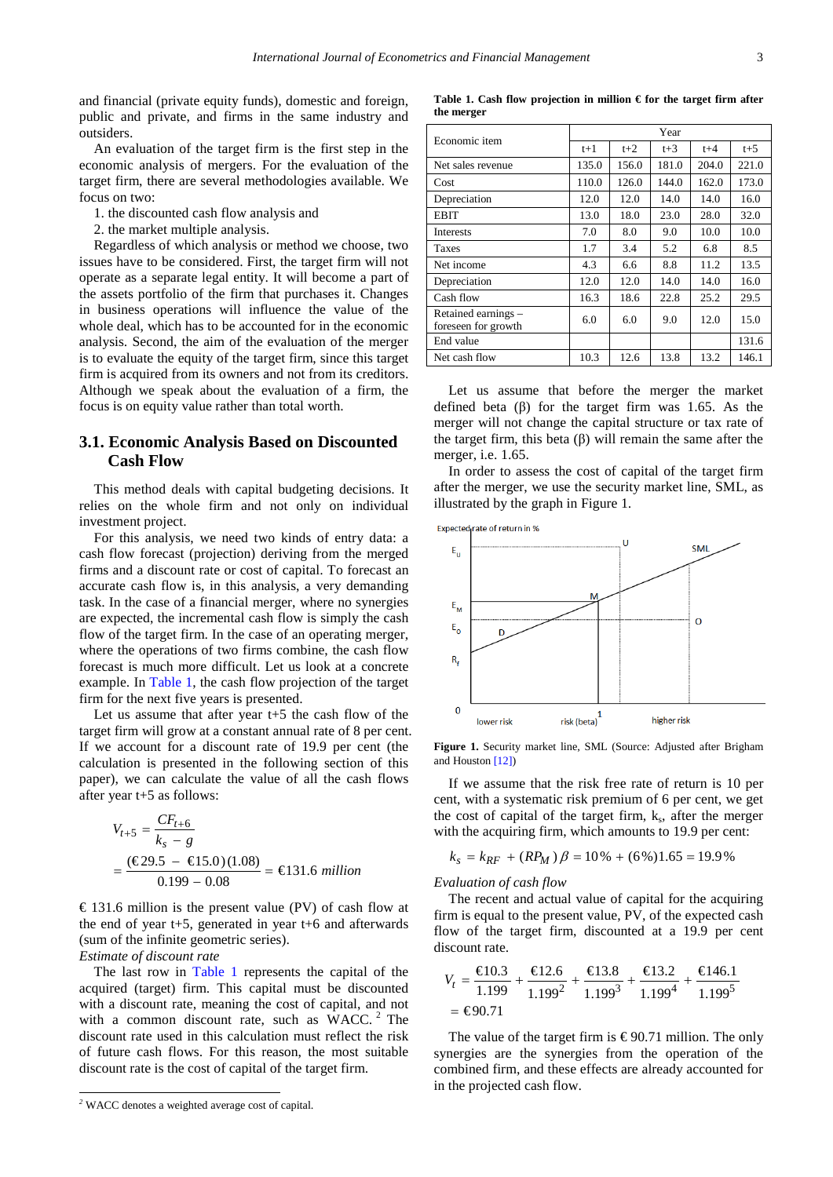and financial (private equity funds), domestic and foreign, public and private, and firms in the same industry and outsiders.

An evaluation of the target firm is the first step in the economic analysis of mergers. For the evaluation of the target firm, there are several methodologies available. We focus on two:

- 1. the discounted cash flow analysis and
- 2. the market multiple analysis.

Regardless of which analysis or method we choose, two issues have to be considered. First, the target firm will not operate as a separate legal entity. It will become a part of the assets portfolio of the firm that purchases it. Changes in business operations will influence the value of the whole deal, which has to be accounted for in the economic analysis. Second, the aim of the evaluation of the merger is to evaluate the equity of the target firm, since this target firm is acquired from its owners and not from its creditors. Although we speak about the evaluation of a firm, the focus is on equity value rather than total worth.

#### **3.1. Economic Analysis Based on Discounted Cash Flow**

This method deals with capital budgeting decisions. It relies on the whole firm and not only on individual investment project.

For this analysis, we need two kinds of entry data: a cash flow forecast (projection) deriving from the merged firms and a discount rate or cost of capital. To forecast an accurate cash flow is, in this analysis, a very demanding task. In the case of a financial merger, where no synergies are expected, the incremental cash flow is simply the cash flow of the target firm. In the case of an operating merger, where the operations of two firms combine, the cash flow forecast is much more difficult. Let us look at a concrete example. In [Table 1,](#page-2-0) the cash flow projection of the target firm for the next five years is presented.

Let us assume that after year t+5 the cash flow of the target firm will grow at a constant annual rate of 8 per cent. If we account for a discount rate of 19.9 per cent (the calculation is presented in the following section of this paper), we can calculate the value of all the cash flows after year t+5 as follows:

$$
V_{t+5} = \frac{CF_{t+6}}{k_s - g}
$$
  
= 
$$
\frac{(\text{C29.5 - C15.0})(1.08)}{0.199 - 0.08} = \text{C131.6 million}
$$

€ 131.6 million is the present value (PV) of cash flow at the end of year t+5, generated in year t+6 and afterwards (sum of the infinite geometric series).

*Estimate of discount rate*

The last row in [Table 1](#page-2-0) represents the capital of the acquired (target) firm. This capital must be discounted with a discount rate, meaning the cost of capital, and not with a common discount rate, such as  $WACC<sup>2</sup>$  $WACC<sup>2</sup>$  $WACC<sup>2</sup>$  The discount rate used in this calculation must reflect the risk of future cash flows. For this reason, the most suitable discount rate is the cost of capital of the target firm.

**Table 1. Cash flow projection in million € for the target firm after the merger**

<span id="page-2-0"></span>

| Economic item                              |       |       | Year  |         |       |
|--------------------------------------------|-------|-------|-------|---------|-------|
|                                            | t+1   | $t+2$ | $t+3$ | $t + 4$ | $t+5$ |
| Net sales revenue                          | 135.0 | 156.0 | 181.0 | 204.0   | 221.0 |
| Cost                                       | 110.0 | 126.0 | 144.0 | 162.0   | 173.0 |
| Depreciation                               | 12.0  | 12.0  | 14.0  | 14.0    | 16.0  |
| <b>EBIT</b>                                | 13.0  | 18.0  | 23.0  | 28.0    | 32.0  |
| <b>Interests</b>                           | 7.0   | 8.0   | 9.0   | 10.0    | 10.0  |
| <b>Taxes</b>                               | 1.7   | 3.4   | 5.2   | 6.8     | 8.5   |
| Net income                                 | 4.3   | 6.6   | 8.8   | 11.2    | 13.5  |
| Depreciation                               | 12.0  | 12.0  | 14.0  | 14.0    | 16.0  |
| Cash flow                                  | 16.3  | 18.6  | 22.8  | 25.2    | 29.5  |
| Retained earnings -<br>foreseen for growth | 6.0   | 6.0   | 9.0   | 12.0    | 15.0  |
| End value                                  |       |       |       |         | 131.6 |
| Net cash flow                              | 10.3  | 12.6  | 13.8  | 13.2    | 146.1 |

Let us assume that before the merger the market defined beta (β) for the target firm was 1.65. As the merger will not change the capital structure or tax rate of the target firm, this beta (β) will remain the same after the merger, i.e. 1.65.

In order to assess the cost of capital of the target firm after the merger, we use the security market line, SML, as illustrated by the graph in Figure 1.



**Figure 1.** Security market line, SML (Source: Adjusted after Brigham and Houston [\[12\]\)](#page-11-11)

If we assume that the risk free rate of return is 10 per cent, with a systematic risk premium of 6 per cent, we get the cost of capital of the target firm,  $k<sub>s</sub>$ , after the merger with the acquiring firm, which amounts to 19.9 per cent:

$$
k_s = k_{RF} + (RP_M) \beta = 10\% + (6\%)1.65 = 19.9\%
$$

*Evaluation of cash flow*

The recent and actual value of capital for the acquiring firm is equal to the present value, PV, of the expected cash flow of the target firm, discounted at a 19.9 per cent discount rate.

$$
V_t = \frac{\text{\textsterling}10.3}{1.199} + \frac{\text{\textsterling}12.6}{1.199^2} + \frac{\text{\textsterling}13.8}{1.199^3} + \frac{\text{\textsterling}13.2}{1.199^4} + \frac{\text{\textsterling}146.1}{1.199^5}
$$

$$
= \text{\textsterling}90.71
$$

The value of the target firm is  $\epsilon$ 90.71 million. The only synergies are the synergies from the operation of the combined firm, and these effects are already accounted for in the projected cash flow.

<span id="page-2-1"></span>*<sup>2</sup>* WACC denotes a weighted average cost of capital.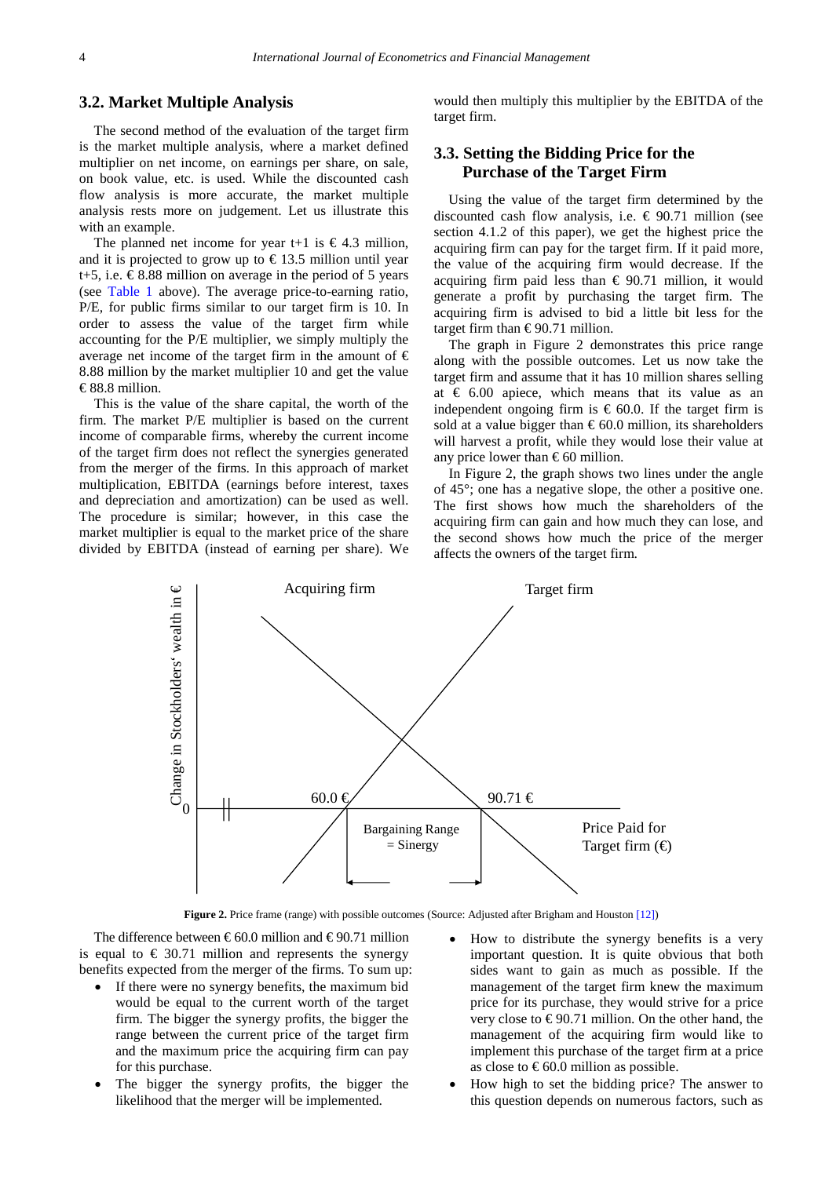#### **3.2. Market Multiple Analysis**

The second method of the evaluation of the target firm is the market multiple analysis, where a market defined multiplier on net income, on earnings per share, on sale, on book value, etc. is used. While the discounted cash flow analysis is more accurate, the market multiple analysis rests more on judgement. Let us illustrate this with an example.

The planned net income for year t+1 is  $\in$  4.3 million, and it is projected to grow up to  $\epsilon$ 13.5 million until year t+5, i.e.  $\text{\textsterling}8.88$  million on average in the period of 5 years (see [Table 1](#page-2-0) above). The average price-to-earning ratio, P/E, for public firms similar to our target firm is 10. In order to assess the value of the target firm while accounting for the P/E multiplier, we simply multiply the average net income of the target firm in the amount of  $\epsilon$ 8.88 million by the market multiplier 10 and get the value € 88.8 million.

This is the value of the share capital, the worth of the firm. The market P/E multiplier is based on the current income of comparable firms, whereby the current income of the target firm does not reflect the synergies generated from the merger of the firms. In this approach of market multiplication, EBITDA (earnings before interest, taxes and depreciation and amortization) can be used as well. The procedure is similar; however, in this case the market multiplier is equal to the market price of the share divided by EBITDA (instead of earning per share). We

would then multiply this multiplier by the EBITDA of the target firm.

### **3.3. Setting the Bidding Price for the Purchase of the Target Firm**

Using the value of the target firm determined by the discounted cash flow analysis, i.e.  $\epsilon$  90.71 million (see section 4.1.2 of this paper), we get the highest price the acquiring firm can pay for the target firm. If it paid more, the value of the acquiring firm would decrease. If the acquiring firm paid less than  $\epsilon$  90.71 million, it would generate a profit by purchasing the target firm. The acquiring firm is advised to bid a little bit less for the target firm than  $\epsilon$ 90.71 million.

The graph in Figure 2 demonstrates this price range along with the possible outcomes. Let us now take the target firm and assume that it has 10 million shares selling at  $\epsilon$  6.00 apiece, which means that its value as an independent ongoing firm is  $\epsilon$  60.0. If the target firm is sold at a value bigger than  $\epsilon$ 60.0 million, its shareholders will harvest a profit, while they would lose their value at any price lower than  $\epsilon$ 60 million.

In Figure 2, the graph shows two lines under the angle of 45°; one has a negative slope, the other a positive one. The first shows how much the shareholders of the acquiring firm can gain and how much they can lose, and the second shows how much the price of the merger affects the owners of the target firm.



**Figure 2.** Price frame (range) with possible outcomes (Source: Adjusted after Brigham and Houston [\[12\]\)](#page-11-11)

The difference between  $\epsilon$ 60.0 million and  $\epsilon$ 90.71 million is equal to  $\epsilon$  30.71 million and represents the synergy benefits expected from the merger of the firms. To sum up:

- If there were no synergy benefits, the maximum bid would be equal to the current worth of the target firm. The bigger the synergy profits, the bigger the range between the current price of the target firm and the maximum price the acquiring firm can pay for this purchase.
- The bigger the synergy profits, the bigger the likelihood that the merger will be implemented.
- How to distribute the synergy benefits is a very important question. It is quite obvious that both sides want to gain as much as possible. If the management of the target firm knew the maximum price for its purchase, they would strive for a price very close to  $\epsilon$ 90.71 million. On the other hand, the management of the acquiring firm would like to implement this purchase of the target firm at a price as close to  $\epsilon$ 60.0 million as possible.
- How high to set the bidding price? The answer to this question depends on numerous factors, such as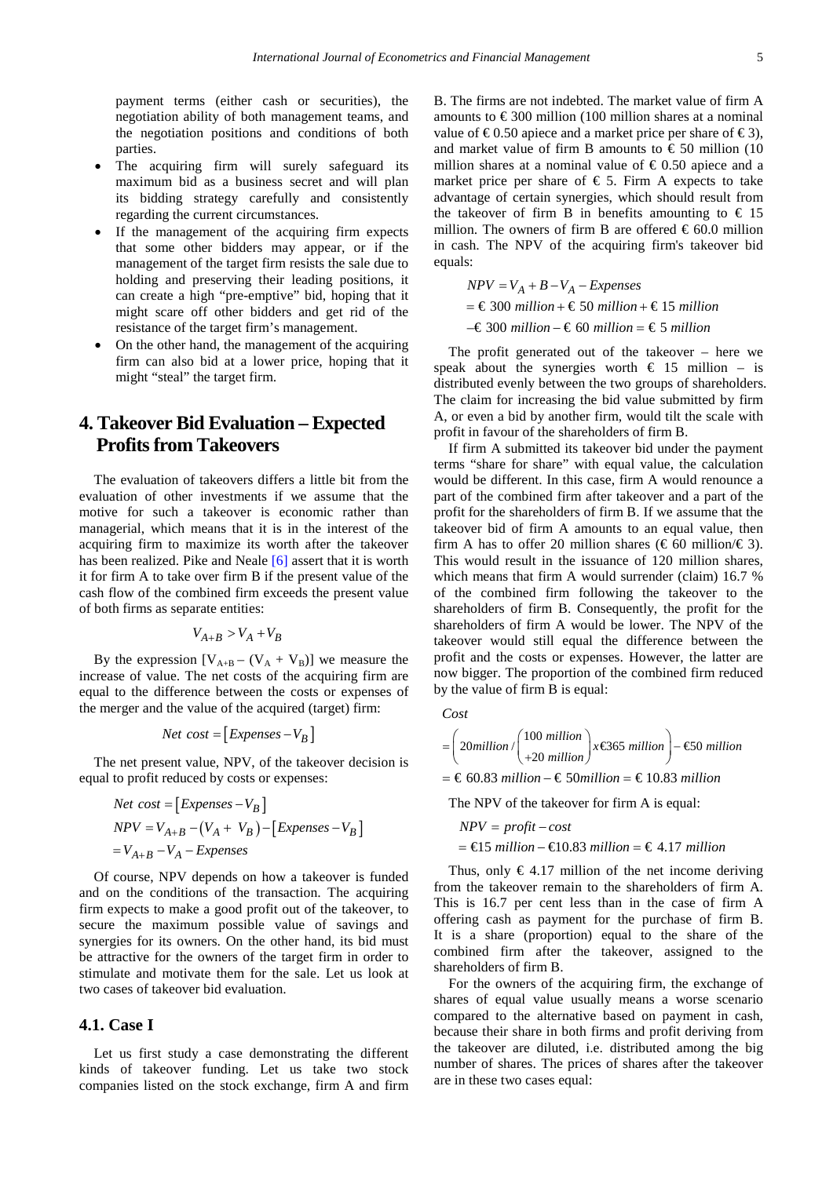payment terms (either cash or securities), the negotiation ability of both management teams, and the negotiation positions and conditions of both parties.

- The acquiring firm will surely safeguard its maximum bid as a business secret and will plan its bidding strategy carefully and consistently regarding the current circumstances.
- If the management of the acquiring firm expects that some other bidders may appear, or if the management of the target firm resists the sale due to holding and preserving their leading positions, it can create a high "pre-emptive" bid, hoping that it might scare off other bidders and get rid of the resistance of the target firm's management.
- On the other hand, the management of the acquiring firm can also bid at a lower price, hoping that it might "steal" the target firm.

### **4. Takeover Bid Evaluation – Expected Profits from Takeovers**

The evaluation of takeovers differs a little bit from the evaluation of other investments if we assume that the motive for such a takeover is economic rather than managerial, which means that it is in the interest of the acquiring firm to maximize its worth after the takeover has been realized. Pike and Neale [\[6\]](#page-11-5) assert that it is worth it for firm A to take over firm B if the present value of the cash flow of the combined firm exceeds the present value of both firms as separate entities:

$$
V_{A+B} > V_A + V_B
$$

By the expression  $[V_{A+B} - (V_A + V_B)]$  we measure the increase of value. The net costs of the acquiring firm are equal to the difference between the costs or expenses of the merger and the value of the acquired (target) firm:

$$
Net\ cost = [Expenses - V_B]
$$

The net present value, NPV, of the takeover decision is equal to profit reduced by costs or expenses:

Net cost = 
$$
\begin{bmatrix} Expenses - V_B \end{bmatrix}
$$
  
NPV = V<sub>A+B</sub> - (V<sub>A</sub> + V<sub>B</sub>) - [Expenses - V<sub>B</sub>]  
= V<sub>A+B</sub> - V<sub>A</sub> - Expenses

Of course, NPV depends on how a takeover is funded and on the conditions of the transaction. The acquiring firm expects to make a good profit out of the takeover, to secure the maximum possible value of savings and synergies for its owners. On the other hand, its bid must be attractive for the owners of the target firm in order to stimulate and motivate them for the sale. Let us look at two cases of takeover bid evaluation.

#### **4.1. Case I**

Let us first study a case demonstrating the different kinds of takeover funding. Let us take two stock companies listed on the stock exchange, firm A and firm B. The firms are not indebted. The market value of firm A amounts to  $\epsilon$ 300 million (100 million shares at a nominal value of  $\epsilon$ 0.50 apiece and a market price per share of  $\epsilon$ 3), and market value of firm B amounts to  $\epsilon$  50 million (10) million shares at a nominal value of  $\epsilon$  0.50 apiece and a market price per share of  $\epsilon$  5. Firm A expects to take advantage of certain synergies, which should result from the takeover of firm B in benefits amounting to  $\in$  15 million. The owners of firm B are offered  $\epsilon$  60.0 million in cash. The NPV of the acquiring firm's takeover bid equals:

$$
NPV = V_A + B - V_A - Expenses
$$
  
= €300 million + €50 million + €15 million  
−€300 million - €60 million = €5 million

The profit generated out of the takeover – here we speak about the synergies worth  $\epsilon$  15 million – is distributed evenly between the two groups of shareholders. The claim for increasing the bid value submitted by firm A, or even a bid by another firm, would tilt the scale with profit in favour of the shareholders of firm B.

If firm A submitted its takeover bid under the payment terms "share for share" with equal value, the calculation would be different. In this case, firm A would renounce a part of the combined firm after takeover and a part of the profit for the shareholders of firm B. If we assume that the takeover bid of firm A amounts to an equal value, then firm A has to offer 20 million shares ( $\in 60$  million/ $\in 3$ ). This would result in the issuance of 120 million shares, which means that firm A would surrender (claim) 16.7 % of the combined firm following the takeover to the shareholders of firm B. Consequently, the profit for the shareholders of firm A would be lower. The NPV of the takeover would still equal the difference between the profit and the costs or expenses. However, the latter are now bigger. The proportion of the combined firm reduced by the value of firm B is equal:

*Cost*

$$
= \left(20\text{million} / \left(\frac{100 \text{ million}}{+20 \text{ million}}\right) x \text{ to 5 million}\right) - \text{60 million}
$$

$$
= \text{\textsterling} 60.83 million - \text{\textsterling} 50 million = \text{\textsterling} 10.83 million
$$

The NPV of the takeover for firm A is equal:

$$
NPV = profit - cost
$$
  
=  $\text{£5 million} - \text{£0.83 million} = \text{£4.17 million}$ 

Thus, only  $\in$  4.17 million of the net income deriving from the takeover remain to the shareholders of firm A. This is 16.7 per cent less than in the case of firm A offering cash as payment for the purchase of firm B. It is a share (proportion) equal to the share of the combined firm after the takeover, assigned to the shareholders of firm B.

For the owners of the acquiring firm, the exchange of shares of equal value usually means a worse scenario compared to the alternative based on payment in cash, because their share in both firms and profit deriving from the takeover are diluted, i.e. distributed among the big number of shares. The prices of shares after the takeover are in these two cases equal: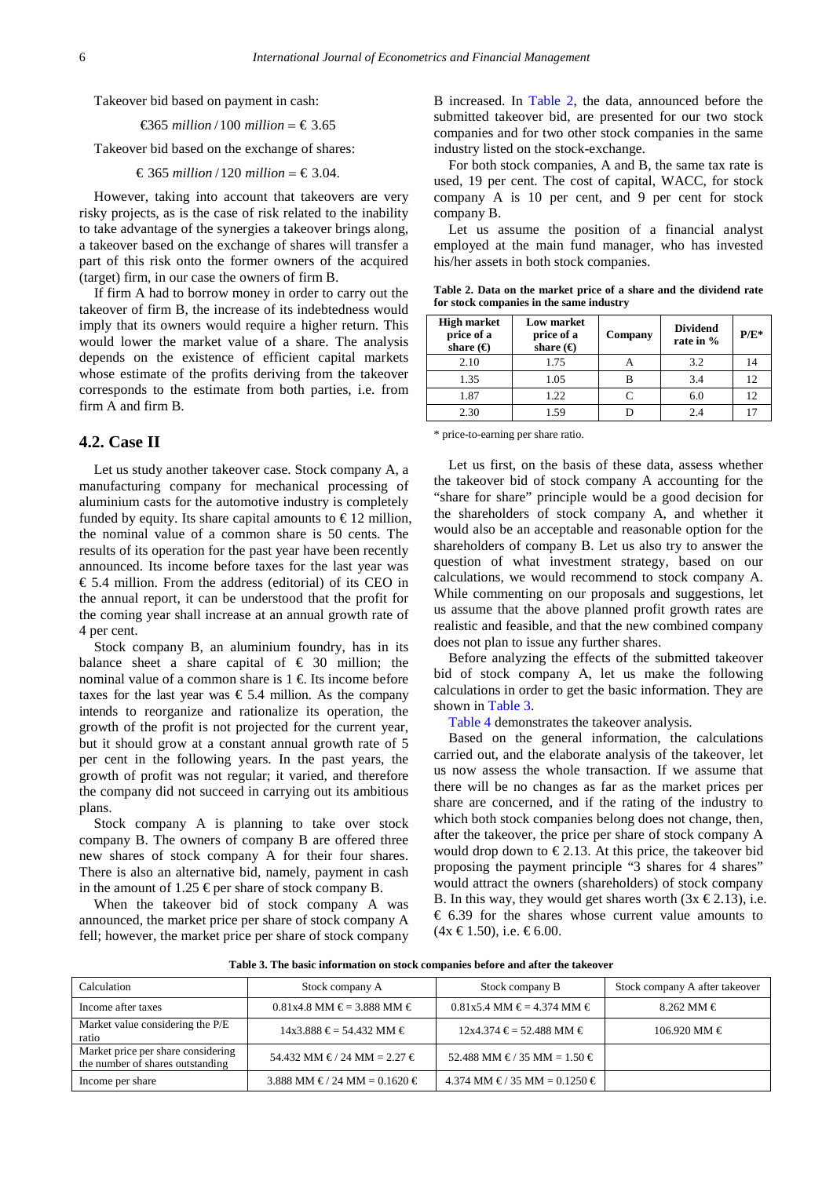Takeover bid based on payment in cash:

 $\text{\textsterling}65$  million / 100 million =  $\text{\textsterling}3.65$ 

Takeover bid based on the exchange of shares:

 $€ 365 million / 120 million = € 3.04.$ 

However, taking into account that takeovers are very risky projects, as is the case of risk related to the inability to take advantage of the synergies a takeover brings along, a takeover based on the exchange of shares will transfer a part of this risk onto the former owners of the acquired (target) firm, in our case the owners of firm B.

If firm A had to borrow money in order to carry out the takeover of firm B, the increase of its indebtedness would imply that its owners would require a higher return. This would lower the market value of a share. The analysis depends on the existence of efficient capital markets whose estimate of the profits deriving from the takeover corresponds to the estimate from both parties, i.e. from firm A and firm B.

#### **4.2. Case II**

Let us study another takeover case. Stock company A, a manufacturing company for mechanical processing of aluminium casts for the automotive industry is completely funded by equity. Its share capital amounts to  $\epsilon$ 12 million, the nominal value of a common share is 50 cents. The results of its operation for the past year have been recently announced. Its income before taxes for the last year was  $\epsilon$  5.4 million. From the address (editorial) of its CEO in the annual report, it can be understood that the profit for the coming year shall increase at an annual growth rate of 4 per cent.

Stock company B, an aluminium foundry, has in its balance sheet a share capital of  $\epsilon$  30 million; the nominal value of a common share is  $1 \in \mathbb{R}$  Its income before taxes for the last year was  $\epsilon$  5.4 million. As the company intends to reorganize and rationalize its operation, the growth of the profit is not projected for the current year, but it should grow at a constant annual growth rate of 5 per cent in the following years. In the past years, the growth of profit was not regular; it varied, and therefore the company did not succeed in carrying out its ambitious plans.

Stock company A is planning to take over stock company B. The owners of company B are offered three new shares of stock company A for their four shares. There is also an alternative bid, namely, payment in cash in the amount of 1.25  $\epsilon$  per share of stock company B.

When the takeover bid of stock company A was announced, the market price per share of stock company A fell; however, the market price per share of stock company B increased. In [Table 2,](#page-5-0) the data, announced before the submitted takeover bid, are presented for our two stock companies and for two other stock companies in the same industry listed on the stock-exchange.

For both stock companies, A and B, the same tax rate is used, 19 per cent. The cost of capital, WACC, for stock company A is 10 per cent, and 9 per cent for stock company B.

Let us assume the position of a financial analyst employed at the main fund manager, who has invested his/her assets in both stock companies.

|                                          |  |  |  |  | Table 2. Data on the market price of a share and the dividend rate |  |
|------------------------------------------|--|--|--|--|--------------------------------------------------------------------|--|
| for stock companies in the same industry |  |  |  |  |                                                                    |  |

<span id="page-5-0"></span>

| <b>High market</b><br>price of a<br>share $\Theta$ | Low market<br>price of a<br>share $\Theta$ | Company | <b>Dividend</b><br>rate in % | $P/E^*$ |
|----------------------------------------------------|--------------------------------------------|---------|------------------------------|---------|
| 2.10                                               | 1.75                                       |         | 3.2                          | 14      |
| 1.35                                               | 1.05                                       | В       | 3.4                          | 12      |
| 1.87                                               | 1.22                                       |         | 6.0                          | 12      |
| 2.30                                               | 1.59                                       |         | 2.4                          |         |

\* price-to-earning per share ratio.

Let us first, on the basis of these data, assess whether the takeover bid of stock company A accounting for the "share for share" principle would be a good decision for the shareholders of stock company A, and whether it would also be an acceptable and reasonable option for the shareholders of company B. Let us also try to answer the question of what investment strategy, based on our calculations, we would recommend to stock company A. While commenting on our proposals and suggestions, let us assume that the above planned profit growth rates are realistic and feasible, and that the new combined company does not plan to issue any further shares.

Before analyzing the effects of the submitted takeover bid of stock company A, let us make the following calculations in order to get the basic information. They are shown in [Table 3.](#page-5-1)

[Table 4](#page-6-0) demonstrates the takeover analysis.

Based on the general information, the calculations carried out, and the elaborate analysis of the takeover, let us now assess the whole transaction. If we assume that there will be no changes as far as the market prices per share are concerned, and if the rating of the industry to which both stock companies belong does not change, then, after the takeover, the price per share of stock company A would drop down to  $\epsilon$ 2.13. At this price, the takeover bid proposing the payment principle "3 shares for 4 shares" would attract the owners (shareholders) of stock company B. In this way, they would get shares worth  $(3x \in 2.13)$ , i.e.  $\epsilon$  6.39 for the shares whose current value amounts to  $(4x \text{ } \in 1.50)$ , i.e.  $\in 6.00$ .

**Table 3. The basic information on stock companies before and after the takeover**

<span id="page-5-1"></span>

| Calculation                                                            | Stock company A             | Stock company B                                | Stock company A after takeover |
|------------------------------------------------------------------------|-----------------------------|------------------------------------------------|--------------------------------|
| Income after taxes                                                     | $0.81x4.8$ MM €= 3.888 MM € | $0.81x5.4$ MM $\in$ = 4.374 MM $\in$           | $8.262$ MM $\in$               |
| Market value considering the P/E<br>ratio                              | $14x3.888 \in 54.432$ MM €  | $12x4.374 \text{ } \in 52.488 \text{ MM } \in$ | $106.920$ MM $\in$             |
| Market price per share considering<br>the number of shares outstanding | 54.432 MM €/24 MM = 2.27 €  | 52.488 MM €/ 35 MM = $1.50 \in$                |                                |
| Income per share                                                       | 3.888 MM €/24 MM = 0.1620 € | 4.374 MM €/ 35 MM = $0.1250$ €                 |                                |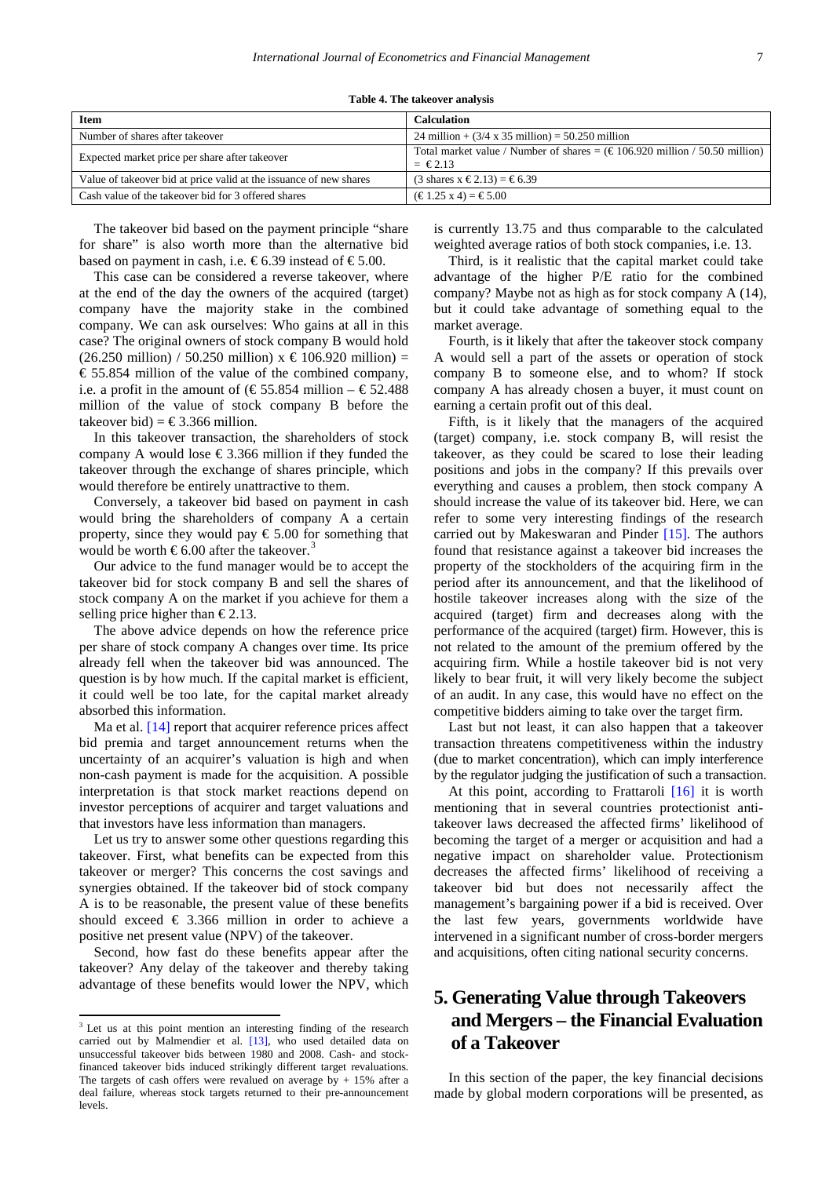|  |  | Table 4. The takeover analysis |  |
|--|--|--------------------------------|--|
|--|--|--------------------------------|--|

<span id="page-6-0"></span>

| <b>Item</b>                                                        | <b>Calculation</b>                                                                                                                     |
|--------------------------------------------------------------------|----------------------------------------------------------------------------------------------------------------------------------------|
| Number of shares after takeover                                    | 24 million + $(3/4 \times 35 \text{ million}) = 50.250 \text{ million}$                                                                |
| Expected market price per share after takeover                     | Total market value / Number of shares = $(\text{\textsterling}106.920 \text{ million} / 50.50 \text{ million})$<br>$=$ $\epsilon$ 2.13 |
| Value of takeover bid at price valid at the issuance of new shares | (3 shares x €2.13) = €6.39                                                                                                             |
| Cash value of the take over bid for 3 offered shares               | $(\text{ } \in 1.25 \text{ x } 4) = \text{ } \in 5.00$                                                                                 |

The takeover bid based on the payment principle "share for share" is also worth more than the alternative bid based on payment in cash, i.e.  $\text{\textsterling}6.39$  instead of  $\text{\textsterling}5.00$ .

This case can be considered a reverse takeover, where at the end of the day the owners of the acquired (target) company have the majority stake in the combined company. We can ask ourselves: Who gains at all in this case? The original owners of stock company B would hold  $(26.250 \text{ million}) / 50.250 \text{ million}) \times \text{\textsterling} 106.920 \text{ million}) =$ € 55.854 million of the value of the combined company, i.e. a profit in the amount of  $(\text{\textsterling}55.854 \text{ million} - \text{\textsterling}52.488)$ million of the value of stock company B before the takeover bid) =  $\text{\textsterling}3.366$  million.

In this takeover transaction, the shareholders of stock company A would lose  $\epsilon$ 3.366 million if they funded the takeover through the exchange of shares principle, which would therefore be entirely unattractive to them.

Conversely, a takeover bid based on payment in cash would bring the shareholders of company A a certain property, since they would pay  $\epsilon$  5.00 for something that would be worth  $\epsilon$ 6.00 after the takeover.<sup>[3](#page-6-1)</sup>

Our advice to the fund manager would be to accept the takeover bid for stock company B and sell the shares of stock company A on the market if you achieve for them a selling price higher than  $\epsilon$ 2.13.

The above advice depends on how the reference price per share of stock company A changes over time. Its price already fell when the takeover bid was announced. The question is by how much. If the capital market is efficient, it could well be too late, for the capital market already absorbed this information.

Ma et al. [\[14\]](#page-11-12) report that acquirer reference prices affect bid premia and target announcement returns when the uncertainty of an acquirer's valuation is high and when non-cash payment is made for the acquisition. A possible interpretation is that stock market reactions depend on investor perceptions of acquirer and target valuations and that investors have less information than managers.

Let us try to answer some other questions regarding this takeover. First, what benefits can be expected from this takeover or merger? This concerns the cost savings and synergies obtained. If the takeover bid of stock company A is to be reasonable, the present value of these benefits should exceed  $\epsilon$  3.366 million in order to achieve a positive net present value (NPV) of the takeover.

Second, how fast do these benefits appear after the takeover? Any delay of the takeover and thereby taking advantage of these benefits would lower the NPV, which

 $\frac{1}{2}$ 

is currently 13.75 and thus comparable to the calculated weighted average ratios of both stock companies, i.e. 13.

Third, is it realistic that the capital market could take advantage of the higher P/E ratio for the combined company? Maybe not as high as for stock company A (14), but it could take advantage of something equal to the market average.

Fourth, is it likely that after the takeover stock company A would sell a part of the assets or operation of stock company B to someone else, and to whom? If stock company A has already chosen a buyer, it must count on earning a certain profit out of this deal.

Fifth, is it likely that the managers of the acquired (target) company, i.e. stock company B, will resist the takeover, as they could be scared to lose their leading positions and jobs in the company? If this prevails over everything and causes a problem, then stock company A should increase the value of its takeover bid. Here, we can refer to some very interesting findings of the research carried out by Makeswaran and Pinder [\[15\].](#page-11-14) The authors found that resistance against a takeover bid increases the property of the stockholders of the acquiring firm in the period after its announcement, and that the likelihood of hostile takeover increases along with the size of the acquired (target) firm and decreases along with the performance of the acquired (target) firm. However, this is not related to the amount of the premium offered by the acquiring firm. While a hostile takeover bid is not very likely to bear fruit, it will very likely become the subject of an audit. In any case, this would have no effect on the competitive bidders aiming to take over the target firm.

Last but not least, it can also happen that a takeover transaction threatens competitiveness within the industry (due to market concentration), which can imply interference by the regulator judging the justification of such a transaction.

At this point, according to Frattaroli [\[16\]](#page-11-15) it is worth mentioning that in several countries protectionist antitakeover laws decreased the affected firms' likelihood of becoming the target of a merger or acquisition and had a negative impact on shareholder value. Protectionism decreases the affected firms' likelihood of receiving a takeover bid but does not necessarily affect the management's bargaining power if a bid is received. Over the last few years, governments worldwide have intervened in a significant number of cross-border mergers and acquisitions, often citing national security concerns.

# **5. Generating Value through Takeovers and Mergers – the Financial Evaluation of a Takeover**

In this section of the paper, the key financial decisions made by global modern corporations will be presented, as

<span id="page-6-1"></span> $3$  Let us at this point mention an interesting finding of the research carried out by Malmendier et al. [\[13\],](#page-11-13) who used detailed data on unsuccessful takeover bids between 1980 and 2008. Cash- and stockfinanced takeover bids induced strikingly different target revaluations. The targets of cash offers were revalued on average by  $+15%$  after a deal failure, whereas stock targets returned to their pre-announcement levels.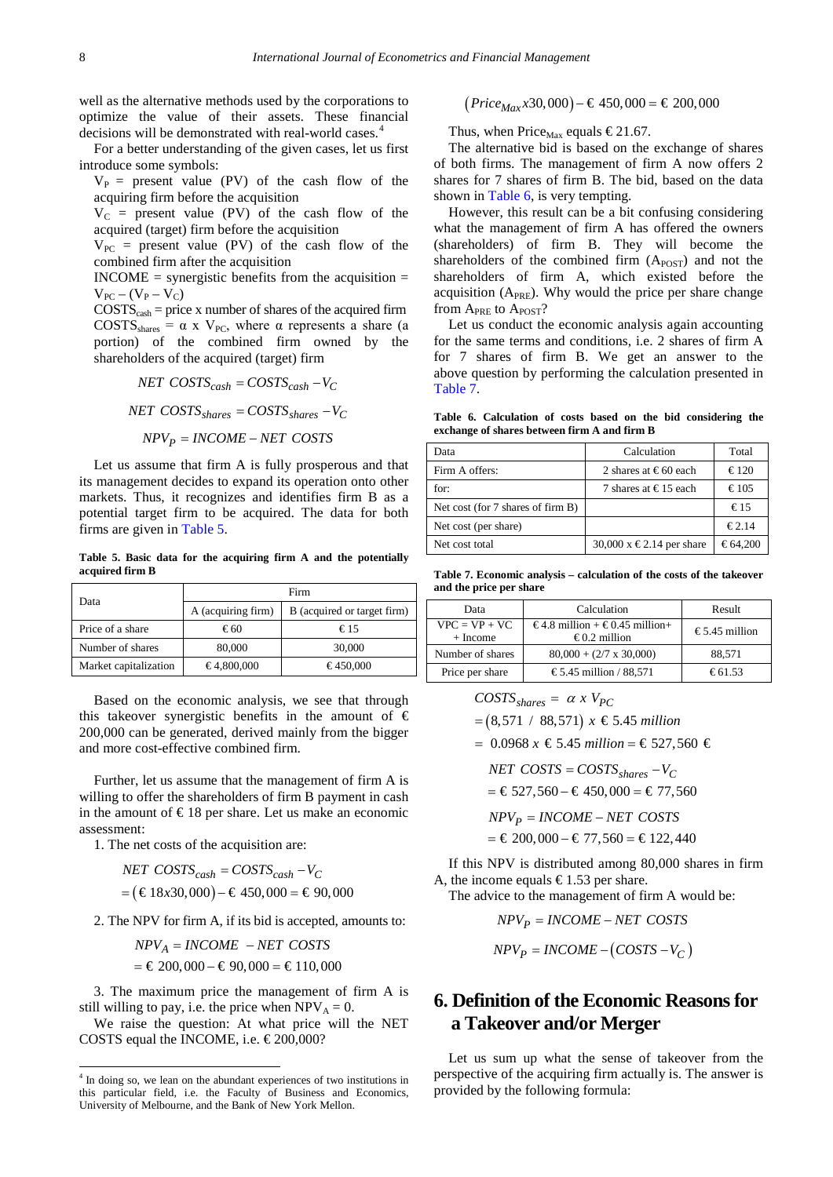well as the alternative methods used by the corporations to optimize the value of their assets. These financial decisions will be demonstrated with real-world cases.<sup>[4](#page-7-3)</sup>

For a better understanding of the given cases, let us first introduce some symbols:

 $V_P$  = present value (PV) of the cash flow of the acquiring firm before the acquisition

 $V_C$  = present value (PV) of the cash flow of the acquired (target) firm before the acquisition

 $V_{PC}$  = present value (PV) of the cash flow of the combined firm after the acquisition

 $INCOME =$  synergistic benefits from the acquisition  $=$  $V_{PC} - (V_{P} - V_{C})$ 

 $COSTS_{cash}$  = price x number of shares of the acquired firm  $COSTS<sub>shares</sub> = \alpha x V<sub>PC</sub>$ , where  $\alpha$  represents a share (a portion) of the combined firm owned by the shareholders of the acquired (target) firm

*NET COSTS COSTS V cash* = − *cash C NET COSTS COSTS V shares* = *shares C* − *NPV INCOME NET COSTS <sup>P</sup>* = −

Let us assume that firm A is fully prosperous and that its management decides to expand its operation onto other markets. Thus, it recognizes and identifies firm B as a potential target firm to be acquired. The data for both firms are given in [Table 5.](#page-7-0) 

**Table 5. Basic data for the acquiring firm A and the potentially acquired firm B**

<span id="page-7-0"></span>

| Data                  | Firm               |                             |  |
|-----------------------|--------------------|-----------------------------|--|
|                       | A (acquiring firm) | B (acquired or target firm) |  |
| Price of a share      | €60                | €15                         |  |
| Number of shares      | 80,000             | 30,000                      |  |
| Market capitalization | €4,800,000         | €450,000                    |  |

Based on the economic analysis, we see that through this takeover synergistic benefits in the amount of  $\epsilon$ 200,000 can be generated, derived mainly from the bigger and more cost-effective combined firm.

Further, let us assume that the management of firm A is willing to offer the shareholders of firm B payment in cash in the amount of  $\epsilon$ 18 per share. Let us make an economic assessment:

1. The net costs of the acquisition are:

**.** 

$$
NET \; COSTS_{cash} = COSTS_{cash} - V_C
$$

 $=(\text{\textsterling}18x30,000)-\text{\textsterling}450,000=\text{\textsterling}90,000$ 

2. The NPV for firm A, if its bid is accepted, amounts to:

$$
NPV_A = INCOME - NET \; COSTS \\
= \text{\textsterling} 200,000 - \text{\textsterling} 90,000 = \text{\textsterling} 110,000
$$

3. The maximum price the management of firm A is still willing to pay, i.e. the price when  $NPV_A = 0$ .

We raise the question: At what price will the NET COSTS equal the INCOME, i.e.  $\in$  200,000?

 $(Price_{Max}x30,000) - \text{\textsterling}450,000 = \text{\textsterling}200,000$ 

Thus, when Price<sub>Max</sub> equals  $\epsilon$  21.67.

The alternative bid is based on the exchange of shares of both firms. The management of firm A now offers 2 shares for 7 shares of firm B. The bid, based on the data shown in [Table 6,](#page-7-1) is very tempting.

However, this result can be a bit confusing considering what the management of firm A has offered the owners (shareholders) of firm B. They will become the shareholders of the combined firm  $(A<sub>POST</sub>)$  and not the shareholders of firm A, which existed before the acquisition  $(A_{PRE})$ . Why would the price per share change from  $A_{PRE}$  to  $A_{POST}$ ?

Let us conduct the economic analysis again accounting for the same terms and conditions, i.e. 2 shares of firm A for 7 shares of firm B. We get an answer to the above question by performing the calculation presented in [Table 7.](#page-7-2)

**Table 6. Calculation of costs based on the bid considering the exchange of shares between firm A and firm B**

<span id="page-7-1"></span>

| Data                              | Calculation                   | Total          |
|-----------------------------------|-------------------------------|----------------|
| Firm A offers:                    | 2 shares at €60 each          | $\epsilon$ 120 |
| for:                              | 7 shares at $\in$ 15 each     | $\epsilon$ 105 |
| Net cost (for 7 shares of firm B) |                               | $\epsilon$ 15  |
| Net cost (per share)              |                               | €2.14          |
| Net cost total                    | 30,000 x $\in$ 2.14 per share | €64,200        |

**Table 7. Economic analysis – calculation of the costs of the takeover and the price per share** 

<span id="page-7-2"></span>

| Data                          | Calculation                                     | Result        |
|-------------------------------|-------------------------------------------------|---------------|
| $VPC = VP + VC$<br>$+$ Income | €4.8 million + €0.45 million+<br>$€0.2$ million | €5.45 million |
| Number of shares              | $80,000 + (2/7 \times 30,000)$                  | 88,571        |
| Price per share               | €5.45 million / 88.571                          | €61.53        |

$$
COSTS_{shares} = \alpha x V_{PC}
$$

$$
=
$$
 (8,571 / 88,571) *x* €5.45 million

 $= 0.0968 x €5.45 million = €527,560 €$ 

$$
NET \; COSTS = COSTS_{shareS} - V_C
$$

$$
= \text{\textsterling}527,560 - \text{\textsterling}450,000 = \text{\textsterling}77,560
$$

 $NPV_P = INCOME - NET$  *COSTS* 

 $= \text{\textsterling}200,000 - \text{\textsterling}77,560 = \text{\textsterling}122,440$ 

If this NPV is distributed among 80,000 shares in firm A, the income equals  $\text{\textsterling}1.53$  per share.

The advice to the management of firm A would be:

$$
NPV_P = INCOME - NET \ COSTS
$$

$$
NPV_P = INCOME - (COSTS - V_C)
$$

### **6. Definition of the Economic Reasons for a Takeover and/or Merger**

Let us sum up what the sense of takeover from the perspective of the acquiring firm actually is. The answer is provided by the following formula:

<span id="page-7-3"></span><sup>&</sup>lt;sup>4</sup> In doing so, we lean on the abundant experiences of two institutions in this particular field, i.e. the Faculty of Business and Economics, University of Melbourne, and the Bank of New York Mellon.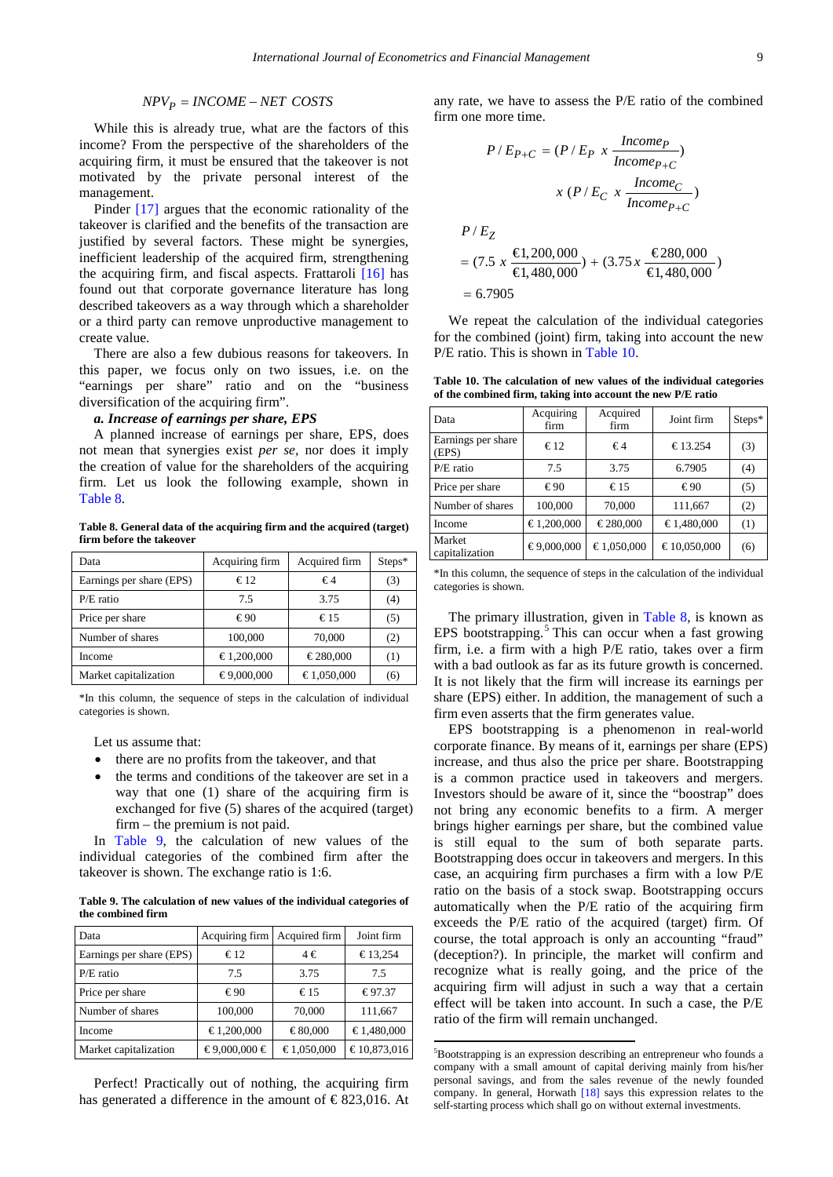#### $NPV_P = INCOME - NET$  *COSTS*

While this is already true, what are the factors of this income? From the perspective of the shareholders of the acquiring firm, it must be ensured that the takeover is not motivated by the private personal interest of the management.

Pinder [\[17\]](#page-11-16) argues that the economic rationality of the takeover is clarified and the benefits of the transaction are justified by several factors. These might be synergies, inefficient leadership of the acquired firm, strengthening the acquiring firm, and fiscal aspects. Frattaroli [\[16\]](#page-11-15) has found out that corporate governance literature has long described takeovers as a way through which a shareholder or a third party can remove unproductive management to create value.

There are also a few dubious reasons for takeovers. In this paper, we focus only on two issues, i.e. on the "earnings per share" ratio and on the "business diversification of the acquiring firm".

#### *a. Increase of earnings per share, EPS*

A planned increase of earnings per share, EPS, does not mean that synergies exist *per se,* nor does it imply the creation of value for the shareholders of the acquiring firm. Let us look the following example, shown in [Table 8.](#page-8-0)

**Table 8. General data of the acquiring firm and the acquired (target) firm before the takeover**

<span id="page-8-0"></span>

| Data                     | Acquiring firm | Acquired firm | $Steps*$ |
|--------------------------|----------------|---------------|----------|
| Earnings per share (EPS) | €12            | $\epsilon$ 4  | (3)      |
| $P/E$ ratio              | 7.5            | 3.75          | (4)      |
| Price per share          | €90            | €15           | (5)      |
| Number of shares         | 100,000        | 70,000        | (2)      |
| Income                   | €1,200,000     | €280,000      | (1)      |
| Market capitalization    | €9,000,000     | €1,050,000    | (6)      |

\*In this column, the sequence of steps in the calculation of individual categories is shown.

Let us assume that:

- there are no profits from the takeover, and that
- the terms and conditions of the takeover are set in a way that one (1) share of the acquiring firm is exchanged for five (5) shares of the acquired (target) firm – the premium is not paid.

In [Table 9,](#page-8-1) the calculation of new values of the individual categories of the combined firm after the takeover is shown. The exchange ratio is 1:6.

**Table 9. The calculation of new values of the individual categories of the combined firm**

<span id="page-8-1"></span>

| Data                     | Acquiring firm | Acquired firm | Joint firm  |
|--------------------------|----------------|---------------|-------------|
| Earnings per share (EPS) | $\epsilon$ 12  | 4€            | €13,254     |
| $P/E$ ratio              | 7.5            | 3.75          | 7.5         |
| Price per share          | €90            | €15           | €97.37      |
| Number of shares         | 100,000        | 70,000        | 111,667     |
| Income                   | €1,200,000     | €80,000       | €1.480,000  |
| Market capitalization    | €9,000,000 €   | €1,050,000    | €10,873,016 |

<span id="page-8-3"></span>Perfect! Practically out of nothing, the acquiring firm has generated a difference in the amount of  $\epsilon$ 823,016. At any rate, we have to assess the P/E ratio of the combined firm one more time.

$$
P/E_{P+C} = (P/E_P \times \frac{Income_P}{Income_{P+C}})
$$

$$
x (P/E_C \times \frac{Income_C}{Income_{P+C}})
$$

$$
P/E_Z
$$

$$
= (7.5 \times \frac{\epsilon}{\epsilon}1,200,000 + (3.75 \times \frac{\epsilon}{\epsilon}280,000 - 6.7905)
$$

We repeat the calculation of the individual categories for the combined (joint) firm, taking into account the new P/E ratio. This is shown in [Table 10.](#page-8-2)

**Table 10. The calculation of new values of the individual categories of the combined firm, taking into account the new P/E ratio**

<span id="page-8-2"></span>

| Data                        | Acquiring<br>firm | Acquired<br>firm | Joint firm  | $Steps*$ |
|-----------------------------|-------------------|------------------|-------------|----------|
| Earnings per share<br>(EPS) | $\epsilon$ 12     | €4               | €13.254     | (3)      |
| $P/E$ ratio                 | 7.5               | 3.75             | 6.7905      | (4)      |
| Price per share             | €90               | $\epsilon$ 15    | €90         | (5)      |
| Number of shares            | 100,000           | 70,000           | 111,667     | (2)      |
| Income                      | €1,200,000        | €280,000         | €1.480,000  | (1)      |
| Market<br>capitalization    | €9,000,000        | €1,050,000       | €10,050,000 | (6)      |

\*In this column, the sequence of steps in the calculation of the individual categories is shown.

The primary illustration, given in [Table 8,](#page-8-0) is known as EPS bootstrapping. $5$  This can occur when a fast growing firm, i.e. a firm with a high P/E ratio, takes over a firm with a bad outlook as far as its future growth is concerned. It is not likely that the firm will increase its earnings per share (EPS) either. In addition, the management of such a firm even asserts that the firm generates value.

EPS bootstrapping is a phenomenon in real-world corporate finance. By means of it, earnings per share (EPS) increase, and thus also the price per share. Bootstrapping is a common practice used in takeovers and mergers. Investors should be aware of it, since the "boostrap" does not bring any economic benefits to a firm. A merger brings higher earnings per share, but the combined value is still equal to the sum of both separate parts. Bootstrapping does occur in takeovers and mergers. In this case, an acquiring firm purchases a firm with a low P/E ratio on the basis of a stock swap. Bootstrapping occurs automatically when the P/E ratio of the acquiring firm exceeds the P/E ratio of the acquired (target) firm. Of course, the total approach is only an accounting "fraud" (deception?). In principle, the market will confirm and recognize what is really going, and the price of the acquiring firm will adjust in such a way that a certain effect will be taken into account. In such a case, the P/E ratio of the firm will remain unchanged.

**.** 

<sup>5</sup> Bootstrapping is an expression describing an entrepreneur who founds a company with a small amount of capital deriving mainly from his/her personal savings, and from the sales revenue of the newly founded company. In general, Horwath [\[18\]](#page-11-17) says this expression relates to the self-starting process which shall go on without external investments.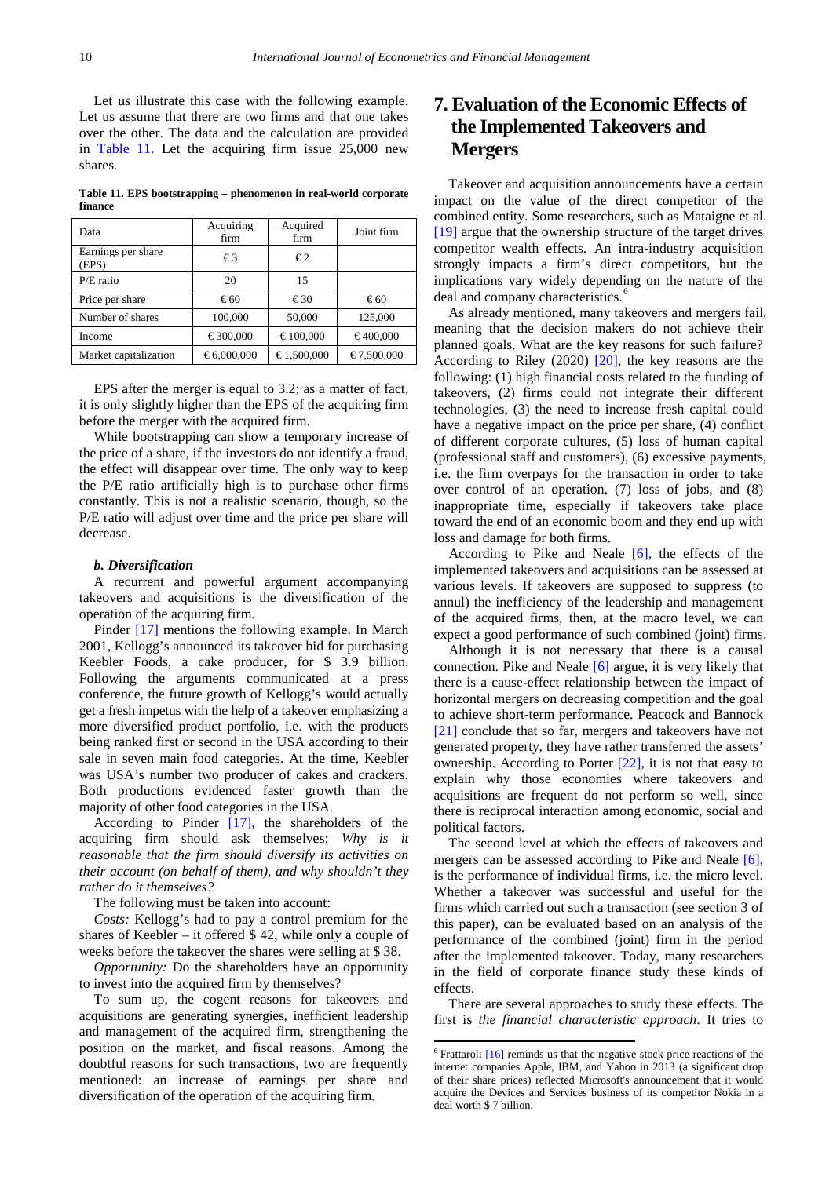Let us illustrate this case with the following example. Let us assume that there are two firms and that one takes over the other. The data and the calculation are provided in [Table 11.](#page-9-0) Let the acquiring firm issue 25,000 new shares.

**Table 11. EPS bootstrapping – phenomenon in real-world corporate finance**

<span id="page-9-0"></span>

| Data                        | Acquiring<br>firm | Acquired<br>firm | Joint firm |
|-----------------------------|-------------------|------------------|------------|
| Earnings per share<br>(EPS) | €3                | €2               |            |
| $P/E$ ratio                 | 20                | 15               |            |
| Price per share             | €60               | €30              | €60        |
| Number of shares            | 100,000           | 50,000           | 125,000    |
| Income                      | €300,000          | €100,000         | €400,000   |
| Market capitalization       | €6,000,000        | €1,500,000       | €7,500,000 |

EPS after the merger is equal to 3.2; as a matter of fact, it is only slightly higher than the EPS of the acquiring firm before the merger with the acquired firm.

While bootstrapping can show a temporary increase of the price of a share, if the investors do not identify a fraud, the effect will disappear over time. The only way to keep the P/E ratio artificially high is to purchase other firms constantly. This is not a realistic scenario, though, so the P/E ratio will adjust over time and the price per share will decrease.

#### *b. Diversification*

A recurrent and powerful argument accompanying takeovers and acquisitions is the diversification of the operation of the acquiring firm.

Pinder [\[17\]](#page-11-16) mentions the following example. In March 2001, Kellogg's announced its takeover bid for purchasing Keebler Foods, a cake producer, for \$ 3.9 billion. Following the arguments communicated at a press conference, the future growth of Kellogg's would actually get a fresh impetus with the help of a takeover emphasizing a more diversified product portfolio, i.e. with the products being ranked first or second in the USA according to their sale in seven main food categories. At the time, Keebler was USA's number two producer of cakes and crackers. Both productions evidenced faster growth than the majority of other food categories in the USA.

According to Pinder [\[17\],](#page-11-16) the shareholders of the acquiring firm should ask themselves: *Why is it reasonable that the firm should diversify its activities on their account (on behalf of them), and why shouldn't they rather do it themselves?*

The following must be taken into account:

*Costs:* Kellogg's had to pay a control premium for the shares of Keebler – it offered \$ 42, while only a couple of weeks before the takeover the shares were selling at \$ 38.

*Opportunity:* Do the shareholders have an opportunity to invest into the acquired firm by themselves?

<span id="page-9-1"></span>To sum up, the cogent reasons for takeovers and acquisitions are generating synergies, inefficient leadership and management of the acquired firm, strengthening the position on the market, and fiscal reasons. Among the doubtful reasons for such transactions, two are frequently mentioned: an increase of earnings per share and diversification of the operation of the acquiring firm.

# **7. Evaluation of the Economic Effects of the Implemented Takeovers and Mergers**

Takeover and acquisition announcements have a certain impact on the value of the direct competitor of the combined entity. Some researchers, such as Mataigne et al. [\[19\]](#page-11-18) argue that the ownership structure of the target drives competitor wealth effects. An intra-industry acquisition strongly impacts a firm's direct competitors, but the implications vary widely depending on the nature of the deal and company characteristics.<sup>[6](#page-9-1)</sup>

As already mentioned, many takeovers and mergers fail, meaning that the decision makers do not achieve their planned goals. What are the key reasons for such failure? According to Riley (2020) [\[20\],](#page-11-19) the key reasons are the following: (1) high financial costs related to the funding of takeovers, (2) firms could not integrate their different technologies, (3) the need to increase fresh capital could have a negative impact on the price per share, (4) conflict of different corporate cultures, (5) loss of human capital (professional staff and customers), (6) excessive payments, i.e. the firm overpays for the transaction in order to take over control of an operation, (7) loss of jobs, and (8) inappropriate time, especially if takeovers take place toward the end of an economic boom and they end up with loss and damage for both firms.

According to Pike and Neale  $[6]$ , the effects of the implemented takeovers and acquisitions can be assessed at various levels. If takeovers are supposed to suppress (to annul) the inefficiency of the leadership and management of the acquired firms, then, at the macro level, we can expect a good performance of such combined (joint) firms.

Although it is not necessary that there is a causal connection. Pike and Neale [\[6\]](#page-11-5) argue, it is very likely that there is a cause-effect relationship between the impact of horizontal mergers on decreasing competition and the goal to achieve short-term performance. Peacock and Bannock [\[21\]](#page-11-20) conclude that so far, mergers and takeovers have not generated property, they have rather transferred the assets' ownership. According to Porter [\[22\],](#page-11-21) it is not that easy to explain why those economies where takeovers and acquisitions are frequent do not perform so well, since there is reciprocal interaction among economic, social and political factors.

The second level at which the effects of takeovers and mergers can be assessed according to Pike and Neale [\[6\],](#page-11-5) is the performance of individual firms, i.e. the micro level. Whether a takeover was successful and useful for the firms which carried out such a transaction (see section 3 of this paper), can be evaluated based on an analysis of the performance of the combined (joint) firm in the period after the implemented takeover. Today, many researchers in the field of corporate finance study these kinds of effects.

There are several approaches to study these effects. The first is *the financial characteristic approach*. It tries to

**.** 

 $6$  Frattaroli  $[16]$  reminds us that the negative stock price reactions of the internet companies Apple, IBM, and Yahoo in 2013 (a significant drop of their share prices) reflected Microsoft's announcement that it would acquire the Devices and Services business of its competitor Nokia in a deal worth \$ 7 billion.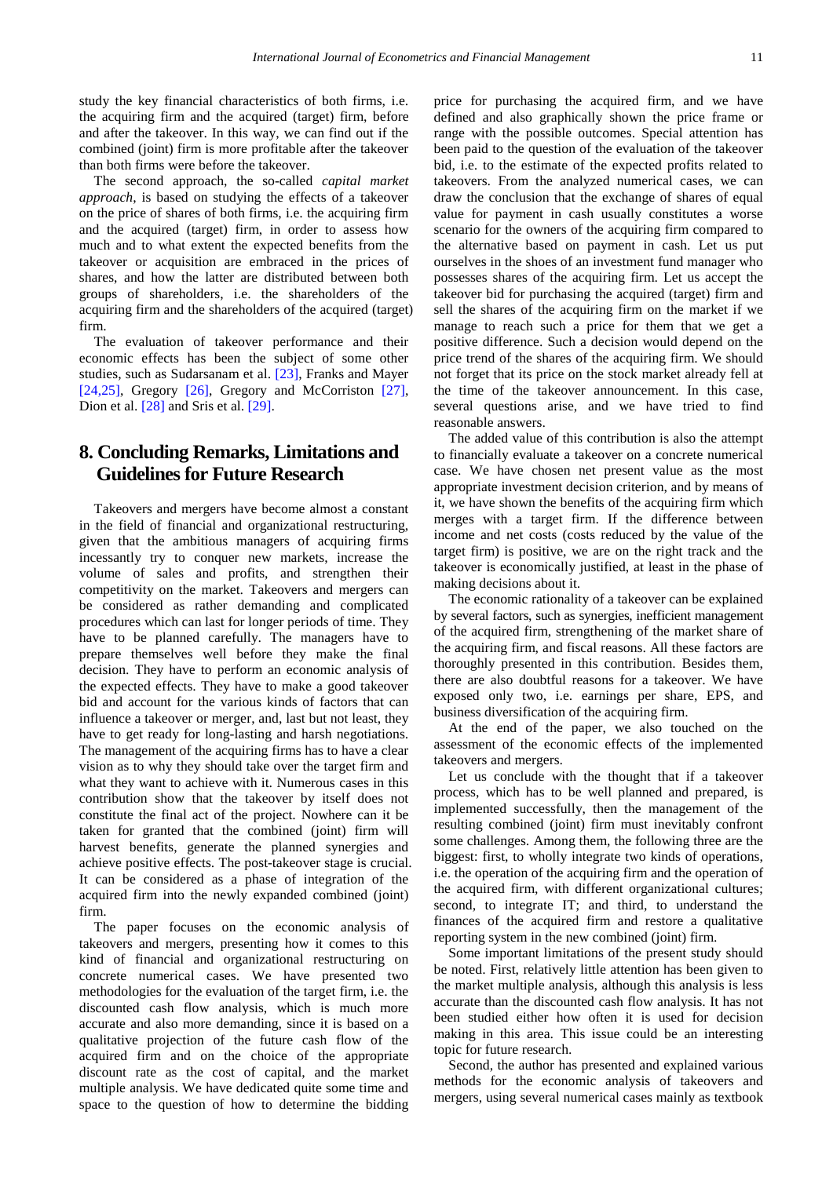study the key financial characteristics of both firms, i.e. the acquiring firm and the acquired (target) firm, before and after the takeover. In this way, we can find out if the combined (joint) firm is more profitable after the takeover than both firms were before the takeover.

The second approach, the so-called *capital market approach*, is based on studying the effects of a takeover on the price of shares of both firms, i.e. the acquiring firm and the acquired (target) firm, in order to assess how much and to what extent the expected benefits from the takeover or acquisition are embraced in the prices of shares, and how the latter are distributed between both groups of shareholders, i.e. the shareholders of the acquiring firm and the shareholders of the acquired (target) firm.

The evaluation of takeover performance and their economic effects has been the subject of some other studies, such as Sudarsanam et al. [\[23\],](#page-11-22) Franks and Mayer [\[24,25\],](#page-11-23) Gregory [\[26\],](#page-11-24) Gregory and McCorriston [\[27\],](#page-11-25) Dion et al. [\[28\]](#page-11-26) and Sris et al. [\[29\].](#page-11-27)

# **8. Concluding Remarks, Limitations and Guidelines for Future Research**

Takeovers and mergers have become almost a constant in the field of financial and organizational restructuring, given that the ambitious managers of acquiring firms incessantly try to conquer new markets, increase the volume of sales and profits, and strengthen their competitivity on the market. Takeovers and mergers can be considered as rather demanding and complicated procedures which can last for longer periods of time. They have to be planned carefully. The managers have to prepare themselves well before they make the final decision. They have to perform an economic analysis of the expected effects. They have to make a good takeover bid and account for the various kinds of factors that can influence a takeover or merger, and, last but not least, they have to get ready for long-lasting and harsh negotiations. The management of the acquiring firms has to have a clear vision as to why they should take over the target firm and what they want to achieve with it. Numerous cases in this contribution show that the takeover by itself does not constitute the final act of the project. Nowhere can it be taken for granted that the combined (joint) firm will harvest benefits, generate the planned synergies and achieve positive effects. The post-takeover stage is crucial. It can be considered as a phase of integration of the acquired firm into the newly expanded combined (joint) firm.

The paper focuses on the economic analysis of takeovers and mergers, presenting how it comes to this kind of financial and organizational restructuring on concrete numerical cases. We have presented two methodologies for the evaluation of the target firm, i.e. the discounted cash flow analysis, which is much more accurate and also more demanding, since it is based on a qualitative projection of the future cash flow of the acquired firm and on the choice of the appropriate discount rate as the cost of capital, and the market multiple analysis. We have dedicated quite some time and space to the question of how to determine the bidding

price for purchasing the acquired firm, and we have defined and also graphically shown the price frame or range with the possible outcomes. Special attention has been paid to the question of the evaluation of the takeover bid, i.e. to the estimate of the expected profits related to takeovers. From the analyzed numerical cases, we can draw the conclusion that the exchange of shares of equal value for payment in cash usually constitutes a worse scenario for the owners of the acquiring firm compared to the alternative based on payment in cash. Let us put ourselves in the shoes of an investment fund manager who possesses shares of the acquiring firm. Let us accept the takeover bid for purchasing the acquired (target) firm and sell the shares of the acquiring firm on the market if we manage to reach such a price for them that we get a positive difference. Such a decision would depend on the price trend of the shares of the acquiring firm. We should not forget that its price on the stock market already fell at the time of the takeover announcement. In this case, several questions arise, and we have tried to find reasonable answers.

The added value of this contribution is also the attempt to financially evaluate a takeover on a concrete numerical case. We have chosen net present value as the most appropriate investment decision criterion, and by means of it, we have shown the benefits of the acquiring firm which merges with a target firm. If the difference between income and net costs (costs reduced by the value of the target firm) is positive, we are on the right track and the takeover is economically justified, at least in the phase of making decisions about it.

The economic rationality of a takeover can be explained by several factors, such as synergies, inefficient management of the acquired firm, strengthening of the market share of the acquiring firm, and fiscal reasons. All these factors are thoroughly presented in this contribution. Besides them, there are also doubtful reasons for a takeover. We have exposed only two, i.e. earnings per share, EPS, and business diversification of the acquiring firm.

At the end of the paper, we also touched on the assessment of the economic effects of the implemented takeovers and mergers.

Let us conclude with the thought that if a takeover process, which has to be well planned and prepared, is implemented successfully, then the management of the resulting combined (joint) firm must inevitably confront some challenges. Among them, the following three are the biggest: first, to wholly integrate two kinds of operations, i.e. the operation of the acquiring firm and the operation of the acquired firm, with different organizational cultures; second, to integrate IT; and third, to understand the finances of the acquired firm and restore a qualitative reporting system in the new combined (joint) firm.

Some important limitations of the present study should be noted. First, relatively little attention has been given to the market multiple analysis, although this analysis is less accurate than the discounted cash flow analysis. It has not been studied either how often it is used for decision making in this area. This issue could be an interesting topic for future research.

Second, the author has presented and explained various methods for the economic analysis of takeovers and mergers, using several numerical cases mainly as textbook